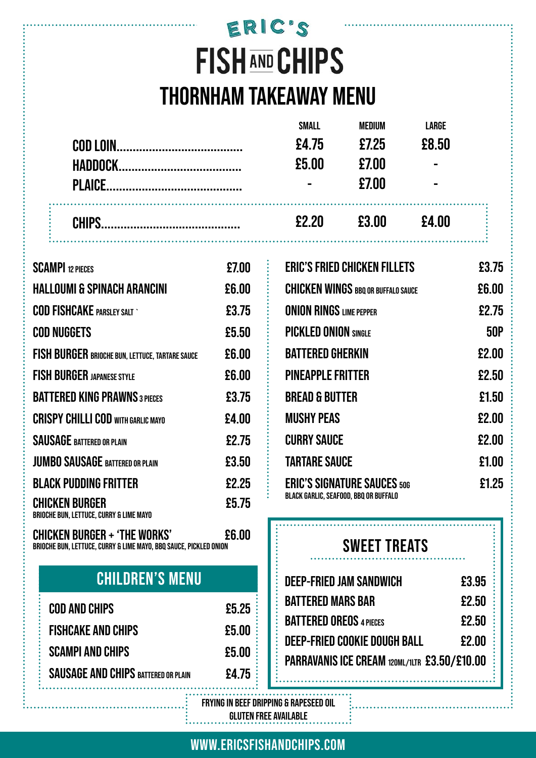## ERIC'S **FISH AND CHIPS THORNHAM TAKEAWAY MENU**

|           | £2.20          | £3.00  | £4.00          |  |
|-----------|----------------|--------|----------------|--|
|           | $\blacksquare$ | £7.00  | $\blacksquare$ |  |
|           | £5.00          | £7.00  | $\blacksquare$ |  |
| COD LOIN. | £4.75          | £7.25  | £8.50          |  |
|           | <b>SMALL</b>   | MEDIUM | <b>LARGE</b>   |  |

| <b>SCAMPI 12 PIECES</b>                                          | £7.00 |
|------------------------------------------------------------------|-------|
| <b>HALLOUMI &amp; SPINACH ARANCINI</b>                           | £6.00 |
| <b>COD FISHCAKE PARSLEY SALT '</b>                               | £3.75 |
| <b>COD NUGGETS</b>                                               | £5.50 |
| <b>FISH BURGER BRIOCHE BUN, LETTUCE, TARTARE SAUCE</b>           | £6.00 |
| <b>FISH BURGER JAPANESE STYLE</b>                                | £6.00 |
| <b>BATTERED KING PRAWNS 3 PIECES</b>                             | £3.75 |
| <b>CRISPY CHILLI COD WITH GARLIC MAYO</b>                        | £4.00 |
| <b>SAUSAGE BATTERED OR PLAIN</b>                                 | £2.75 |
| <b>JUMBO SAUSAGE BATTERED OR PLAIN</b>                           | £3.50 |
| <b>BLACK PUDDING FRITTER</b>                                     | £2.25 |
| <b>CHICKEN BURGER</b><br>BRIOCHE BUN, LETTUCE, CURRY & LIME MAYO | £5.75 |

**CHICKEN BURGER + 'THE WORKS' £6.00 BRIOCHE BUN, LETTUCE, CURRY & LIME MAYO, BBQ SAUCE, PICKLED ONION**

## **CHILDREN'S MENU**

| COD AND CHIPS                              | £5.25 |
|--------------------------------------------|-------|
| <b>FISHCAKE AND CHIPS</b>                  | £5.00 |
| <b>SCAMPI AND CHIPS</b>                    | £5.00 |
| <b>SAUSAGE AND CHIPS BATTERED OR PLAIN</b> | £4.75 |

| <b>ERIC'S FRIED CHICKEN FILLETS</b>                                                | £3.75      |
|------------------------------------------------------------------------------------|------------|
| <b>CHICKEN WINGS BBQ OR BUFFALO SAUCE</b>                                          | £6.00      |
| <b>ONION RINGS LIME PEPPER</b>                                                     | £2.75      |
| <b>PICKLED ONION SINGLE</b>                                                        | <b>50P</b> |
| <b>BATTERED GHERKIN</b>                                                            | £2.00      |
| <b>PINEAPPLE FRITTER</b>                                                           | £2.50      |
| <b>BREAD &amp; BUTTER</b>                                                          | £1.50      |
| <b>MUSHY PEAS</b>                                                                  | £2.00      |
| <b>CURRY SAUCE</b>                                                                 | £2.00      |
| <b>TARTARE SAUCE</b>                                                               | £1.00      |
| <b>ERIC'S SIGNATURE SAUCES 50G</b><br><b>BLACK GARLIC, SEAFOOD, BBQ OR BUFFALO</b> | £1.25      |

### **SWEET TREATS**

| <b>DEEP-FRIED JAM SANDWICH</b>               | £3.95 |
|----------------------------------------------|-------|
| <b>BATTERED MARS BAR</b>                     | £2.50 |
| <b>BATTERED OREOS 4 PIECES</b>               | £2.50 |
| <b>DEEP-FRIED COOKIE DOUGH BALL</b>          | £2.00 |
| PARRAVANIS ICE CREAM 120ML/1LTR £3.50/£10.00 |       |

**FRYING IN BEEF DRIPPING & RAPESEED OIL GLUTEN FREE AVAILABLE**

**WWW.ERICSFISHANDCHIPS.COM**